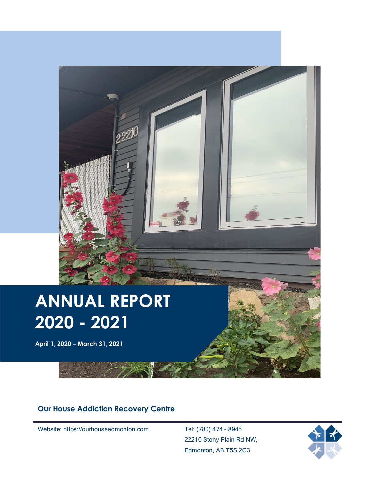

# **ANNUAL REPORT 2020 - 2021**

**April 1, 2020 – March 31, 2021**

#### **Our House Addiction Recovery Centre**

Website: https://ourhouseedmonton.com Tel: (780) 474 - 8945

22210 Stony Plain Rd NW, Edmonton, AB T5S 2C3

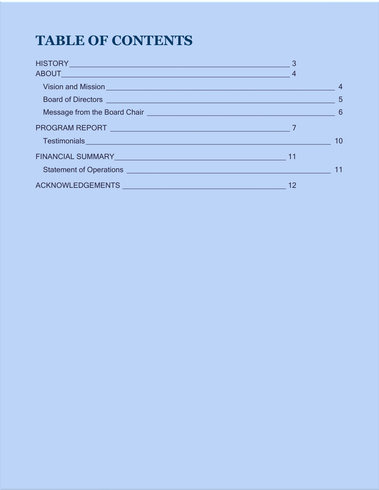### **TABLE OF CONTENTS**

| Vision and Mission <b>Contract Contract of the Contract Oriental Contract Contract Contract Oriental Contract Oriental Contract Oriental Contract Oriental Contract Oriental Contract Oriental Contract Oriental Contract Orient</b> |    | $\overline{4}$ |
|--------------------------------------------------------------------------------------------------------------------------------------------------------------------------------------------------------------------------------------|----|----------------|
|                                                                                                                                                                                                                                      |    |                |
| Message from the Board Chair <u>[1994]</u> Conservation of the Board Chair conservation of the Board Chair conservation of the Board Chair conservation of the Board Chair conservation of the Board Chair conservation of the Boar  |    |                |
|                                                                                                                                                                                                                                      |    |                |
| Testimonials experience and the contract of the contract of the contract of the contract of the contract of the contract of the contract of the contract of the contract of the contract of the contract of the contract of th       |    | 10             |
| FINANCIAL SUMMARY <b>And All Andrew Contract Contract Contract Contract Contract Contract Contract Contract Contract Contract Contract Contract Contract Contract Contract Contract Contract Contract Contract Contract Contract</b> |    |                |
| Statement of Operations <b>contains and the contact of Contact Contact Contact Contact Contact Contact Contact Contact Contact Contact Contact Contact Contact Contact Contact Contact Contact Contact Contact Contact Contact C</b> |    | 11             |
| ACKNOWLEDGEMENTS ACKNOWLEDGEMENTS                                                                                                                                                                                                    | 12 |                |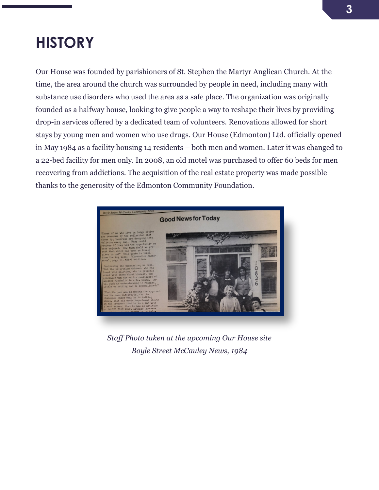### <span id="page-2-0"></span>**HISTORY**

Our House was founded by parishioners of St. Stephen the Martyr Anglican Church. At the time, the area around the church was surrounded by people in need, including many with substance use disorders who used the area as a safe place. The organization was originally founded as a halfway house, looking to give people a way to reshape their lives by providing drop-in services offered by a dedicated team of volunteers. Renovations allowed for short stays by young men and women who use drugs. Our House (Edmonton) Ltd. officially opened in May 1984 as a facility housing 14 residents – both men and women. Later it was changed to a 22-bed facility for men only. In 2008, an old motel was purchased to offer 60 beds for men recovering from addictions. The acquisition of the real estate property was made possible thanks to the generosity of the Edmonton Community Foundation.



*Staff Photo taken at the upcoming Our House site Boyle Street McCauley News, 1984*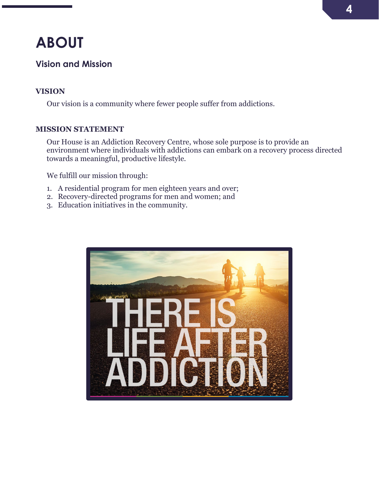### <span id="page-3-0"></span>**ABOUT**

#### <span id="page-3-1"></span>**Vision and Mission**

#### **VISION**

Our vision is a community where fewer people suffer from addictions.

#### **MISSION STATEMENT**

Our House is an Addiction Recovery Centre, whose sole purpose is to provide an environment where individuals with addictions can embark on a recovery process directed towards a meaningful, productive lifestyle.

We fulfill our mission through:

- 1. A residential program for men eighteen years and over;
- 2. Recovery-directed programs for men and women; and
- 3. Education initiatives in the community.

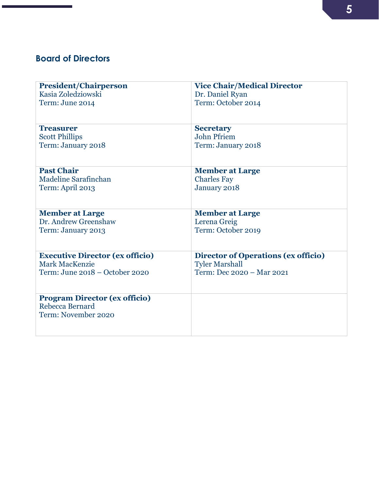#### <span id="page-4-0"></span>**Board of Directors**

| <b>President/Chairperson</b>           | <b>Vice Chair/Medical Director</b>         |
|----------------------------------------|--------------------------------------------|
| Kasia Zoledziowski                     | Dr. Daniel Ryan                            |
| Term: June 2014                        | Term: October 2014                         |
|                                        |                                            |
|                                        |                                            |
| <b>Treasurer</b>                       | <b>Secretary</b>                           |
| <b>Scott Phillips</b>                  | John Pfriem                                |
| Term: January 2018                     | Term: January 2018                         |
|                                        |                                            |
|                                        |                                            |
| <b>Past Chair</b>                      | <b>Member at Large</b>                     |
| Madeline Sarafinchan                   | <b>Charles Fay</b>                         |
| Term: April 2013                       | January 2018                               |
|                                        |                                            |
|                                        |                                            |
| <b>Member at Large</b>                 | <b>Member at Large</b>                     |
| Dr. Andrew Greenshaw                   | Lerena Greig                               |
| Term: January 2013                     | Term: October 2019                         |
|                                        |                                            |
|                                        |                                            |
| <b>Executive Director (ex officio)</b> | <b>Director of Operations (ex officio)</b> |
| Mark MacKenzie                         | <b>Tyler Marshall</b>                      |
| Term: June 2018 – October 2020         | Term: Dec 2020 - Mar 2021                  |
|                                        |                                            |
|                                        |                                            |
| <b>Program Director (ex officio)</b>   |                                            |
| Rebecca Bernard                        |                                            |
| Term: November 2020                    |                                            |
|                                        |                                            |
|                                        |                                            |
|                                        |                                            |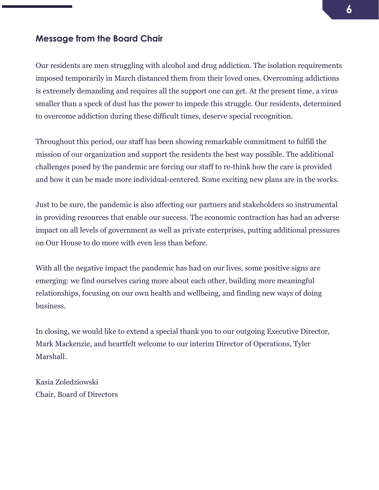#### <span id="page-5-0"></span>**Message from the Board Chair**

Our residents are men struggling with alcohol and drug addiction. The isolation requirements imposed temporarily in March distanced them from their loved ones. Overcoming addictions is extremely demanding and requires all the support one can get. At the present time, a virus smaller than a speck of dust has the power to impede this struggle. Our residents, determined to overcome addiction during these difficult times, deserve special recognition.

Throughout this period, our staff has been showing remarkable commitment to fulfill the mission of our organization and support the residents the best way possible. The additional challenges posed by the pandemic are forcing our staff to re-think how the care is provided and how it can be made more individual-centered. Some exciting new plans are in the works.

Just to be sure, the pandemic is also affecting our partners and stakeholders so instrumental in providing resources that enable our success. The economic contraction has had an adverse impact on all levels of government as well as private enterprises, putting additional pressures on Our House to do more with even less than before.

With all the negative impact the pandemic has had on our lives, some positive signs are emerging: we find ourselves caring more about each other, building more meaningful relationships, focusing on our own health and wellbeing, and finding new ways of doing business.

In closing, we would like to extend a special thank you to our outgoing Executive Director, Mark Mackenzie, and heartfelt welcome to our interim Director of Operations, Tyler Marshall.

Kasia Zoledziowski Chair, Board of Directors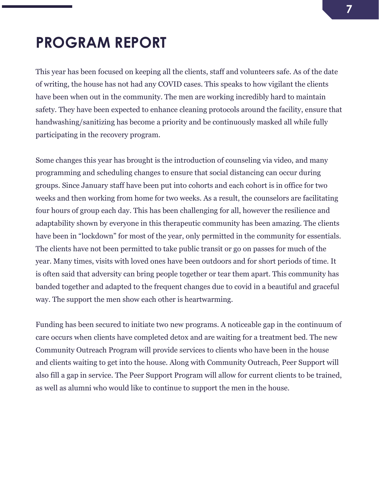### <span id="page-6-0"></span>**PROGRAM REPORT**

This year has been focused on keeping all the clients, staff and volunteers safe. As of the date of writing, the house has not had any COVID cases. This speaks to how vigilant the clients have been when out in the community. The men are working incredibly hard to maintain safety. They have been expected to enhance cleaning protocols around the facility, ensure that handwashing/sanitizing has become a priority and be continuously masked all while fully participating in the recovery program.

Some changes this year has brought is the introduction of counseling via video, and many programming and scheduling changes to ensure that social distancing can occur during groups. Since January staff have been put into cohorts and each cohort is in office for two weeks and then working from home for two weeks. As a result, the counselors are facilitating four hours of group each day. This has been challenging for all, however the resilience and adaptability shown by everyone in this therapeutic community has been amazing. The clients have been in "lockdown" for most of the year, only permitted in the community for essentials. The clients have not been permitted to take public transit or go on passes for much of the year. Many times, visits with loved ones have been outdoors and for short periods of time. It is often said that adversity can bring people together or tear them apart. This community has banded together and adapted to the frequent changes due to covid in a beautiful and graceful way. The support the men show each other is heartwarming.

Funding has been secured to initiate two new programs. A noticeable gap in the continuum of care occurs when clients have completed detox and are waiting for a treatment bed. The new Community Outreach Program will provide services to clients who have been in the house and clients waiting to get into the house. Along with Community Outreach, Peer Support will also fill a gap in service. The Peer Support Program will allow for current clients to be trained, as well as alumni who would like to continue to support the men in the house.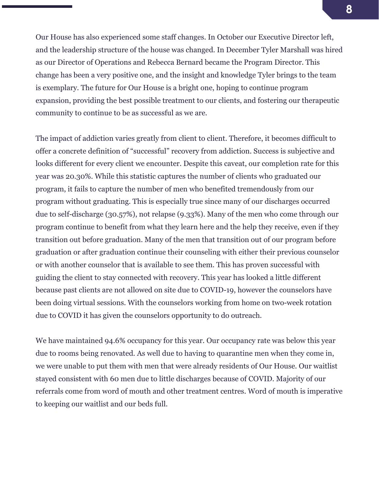Our House has also experienced some staff changes. In October our Executive Director left, and the leadership structure of the house was changed. In December Tyler Marshall was hired as our Director of Operations and Rebecca Bernard became the Program Director. This change has been a very positive one, and the insight and knowledge Tyler brings to the team is exemplary. The future for Our House is a bright one, hoping to continue program expansion, providing the best possible treatment to our clients, and fostering our therapeutic community to continue to be as successful as we are.

The impact of addiction varies greatly from client to client. Therefore, it becomes difficult to offer a concrete definition of "successful" recovery from addiction. Success is subjective and looks different for every client we encounter. Despite this caveat, our completion rate for this year was 20.30%. While this statistic captures the number of clients who graduated our program, it fails to capture the number of men who benefited tremendously from our program without graduating. This is especially true since many of our discharges occurred due to self-discharge (30.57%), not relapse (9.33%). Many of the men who come through our program continue to benefit from what they learn here and the help they receive, even if they transition out before graduation. Many of the men that transition out of our program before graduation or after graduation continue their counseling with either their previous counselor or with another counselor that is available to see them. This has proven successful with guiding the client to stay connected with recovery. This year has looked a little different because past clients are not allowed on site due to COVID-19, however the counselors have been doing virtual sessions. With the counselors working from home on two-week rotation due to COVID it has given the counselors opportunity to do outreach.

We have maintained 94.6% occupancy for this year. Our occupancy rate was below this year due to rooms being renovated. As well due to having to quarantine men when they come in, we were unable to put them with men that were already residents of Our House. Our waitlist stayed consistent with 60 men due to little discharges because of COVID. Majority of our referrals come from word of mouth and other treatment centres. Word of mouth is imperative to keeping our waitlist and our beds full.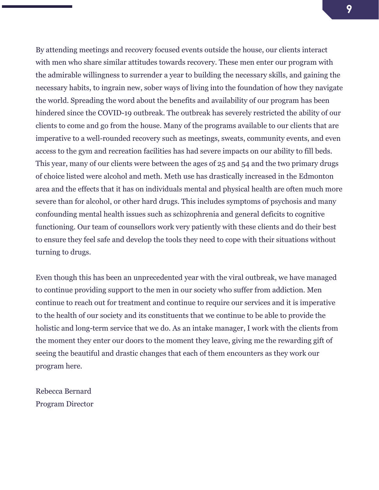By attending meetings and recovery focused events outside the house, our clients interact with men who share similar attitudes towards recovery. These men enter our program with the admirable willingness to surrender a year to building the necessary skills, and gaining the necessary habits, to ingrain new, sober ways of living into the foundation of how they navigate the world. Spreading the word about the benefits and availability of our program has been hindered since the COVID-19 outbreak. The outbreak has severely restricted the ability of our clients to come and go from the house. Many of the programs available to our clients that are imperative to a well-rounded recovery such as meetings, sweats, community events, and even access to the gym and recreation facilities has had severe impacts on our ability to fill beds. This year, many of our clients were between the ages of 25 and 54 and the two primary drugs of choice listed were alcohol and meth. Meth use has drastically increased in the Edmonton area and the effects that it has on individuals mental and physical health are often much more severe than for alcohol, or other hard drugs. This includes symptoms of psychosis and many confounding mental health issues such as schizophrenia and general deficits to cognitive functioning. Our team of counsellors work very patiently with these clients and do their best to ensure they feel safe and develop the tools they need to cope with their situations without turning to drugs.

Even though this has been an unprecedented year with the viral outbreak, we have managed to continue providing support to the men in our society who suffer from addiction. Men continue to reach out for treatment and continue to require our services and it is imperative to the health of our society and its constituents that we continue to be able to provide the holistic and long-term service that we do. As an intake manager, I work with the clients from the moment they enter our doors to the moment they leave, giving me the rewarding gift of seeing the beautiful and drastic changes that each of them encounters as they work our program here.

Rebecca Bernard Program Director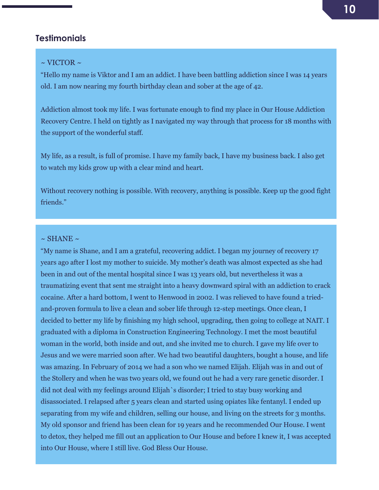#### **Testimonials**

#### <span id="page-9-0"></span> $\sim$  VICTOR  $\sim$

"Hello my name is Viktor and I am an addict. I have been battling addiction since I was 14 years old. I am now nearing my fourth birthday clean and sober at the age of 42.

Addiction almost took my life. I was fortunate enough to find my place in Our House Addiction Recovery Centre. I held on tightly as I navigated my way through that process for 18 months with the support of the wonderful staff.

My life, as a result, is full of promise. I have my family back, I have my business back. I also get to watch my kids grow up with a clear mind and heart.

Without recovery nothing is possible. With recovery, anything is possible. Keep up the good fight friends."

#### $\sim$  SHANE  $\sim$

"My name is Shane, and I am a grateful, recovering addict. I began my journey of recovery 17 years ago after I lost my mother to suicide. My mother's death was almost expected as she had been in and out of the mental hospital since I was 13 years old, but nevertheless it was a traumatizing event that sent me straight into a heavy downward spiral with an addiction to crack cocaine. After a hard bottom, I went to Henwood in 2002. I was relieved to have found a triedand-proven formula to live a clean and sober life through 12-step meetings. Once clean, I decided to better my life by finishing my high school, upgrading, then going to college at NAIT. I graduated with a diploma in Construction Engineering Technology. I met the most beautiful woman in the world, both inside and out, and she invited me to church. I gave my life over to Jesus and we were married soon after. We had two beautiful daughters, bought a house, and life was amazing. In February of 2014 we had a son who we named Elijah. Elijah was in and out of the Stollery and when he was two years old, we found out he had a very rare genetic disorder. I did not deal with my feelings around Elijah`s disorder; I tried to stay busy working and disassociated. I relapsed after 5 years clean and started using opiates like fentanyl. I ended up separating from my wife and children, selling our house, and living on the streets for 3 months. My old sponsor and friend has been clean for 19 years and he recommended Our House. I went to detox, they helped me fill out an application to Our House and before I knew it, I was accepted into Our House, where I still live. God Bless Our House.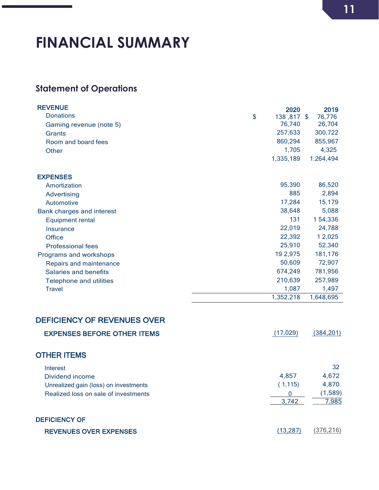## <span id="page-10-0"></span>**FINANCIAL SUMMARY**

### <span id="page-10-1"></span>**Statement of Operations**

| <b>REVENUE</b>                        | 2020             | 2019       |
|---------------------------------------|------------------|------------|
| <b>Donations</b>                      | \$<br>138,817 \$ | 76,776     |
| Gaming revenue (note 5)               | 76,740           | 26,704     |
| Grants                                | 257,633          | 300,722    |
| Room and board fees                   | 860,294          | 855,967    |
| <b>Other</b>                          | 1,705            | 4,325      |
|                                       | 1,335,189        | 1.264,494  |
| <b>EXPENSES</b>                       |                  |            |
| Amortization                          | 95,390           | 86,520     |
| Advertising                           | 885              | 2,894      |
| Automotive                            | 17,284           | 15,179     |
| Bank charges and interest             | 38,648           | 5,088      |
| <b>Equipment rental</b>               | 131              | 154,336    |
| Insurance                             | 22,019           | 24,788     |
| Office                                | 22,392           | 1 2,025    |
| <b>Professional fees</b>              | 25,910           | 52,340     |
| Programs and workshops                | 19 2,975         | 181,176    |
| Repairs and maintenance               | 50,609           | 72,907     |
| Salaries and benefits                 | 674,249          | 781,956    |
| Telephone and utilities               | 210,639          | 257,989    |
| <b>Travel</b>                         | 1,087            | 1,497      |
|                                       | 1,352,218        | 1,648,695  |
| <b>DEFICIENCY OF REVENUES OVER</b>    |                  |            |
|                                       |                  |            |
| <b>EXPENSES BEFORE OTHER ITEMS</b>    | (17, 029)        | (384, 201) |
| <b>OTHER ITEMS</b>                    |                  |            |
| Interest                              |                  | 32         |
| Dividend income                       | 4,857            | 4,672      |
| Unrealized gain (loss) on investments | (1, 115)         | 4,870      |
| Realized loss on sale of investments  | $\overline{0}$   | (1,589)    |
|                                       | 3,742            | 7,985      |

| <b>DEFICIENCY OF</b>          |          |            |
|-------------------------------|----------|------------|
| <b>REVENUES OVER EXPENSES</b> | (13.287) | (376, 216) |